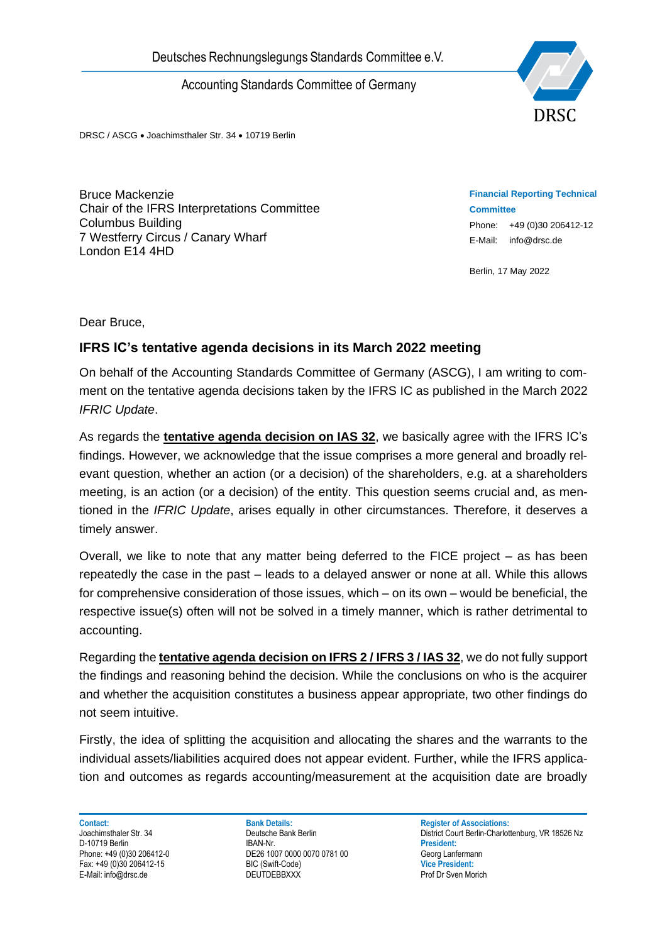Accounting Standards Committee of Germany



DRSC / ASCG • Joachimsthaler Str. 34 • 10719 Berlin

Bruce Mackenzie Chair of the IFRS Interpretations Committee Columbus Building 7 Westferry Circus / Canary Wharf London E14 4HD

**Financial Reporting Technical Committee** Phone: +49 (0)30 206412-12 E-Mail: info@drsc.de

Berlin, 17 May 2022

Dear Bruce,

## **IFRS IC's tentative agenda decisions in its March 2022 meeting**

On behalf of the Accounting Standards Committee of Germany (ASCG), I am writing to comment on the tentative agenda decisions taken by the IFRS IC as published in the March 2022 *IFRIC Update*.

Deutsches Rechnungslegungs Standards Committee e.V.<br>
Accounting Standards Committee of Germany<br>
DRSC: ASCC • Joachimshew Sir. 31 • 10719 Bean<br>
Columbus Building<br>
Columbus Building<br>
Columbus Building<br>
Columbus Building<br>
Col As regards the **tentative agenda decision on IAS 32**, we basically agree with the IFRS IC's findings. However, we acknowledge that the issue comprises a more general and broadly relevant question, whether an action (or a decision) of the shareholders, e.g. at a shareholders meeting, is an action (or a decision) of the entity. This question seems crucial and, as mentioned in the *IFRIC Update*, arises equally in other circumstances. Therefore, it deserves a timely answer.

Overall, we like to note that any matter being deferred to the FICE project – as has been repeatedly the case in the past – leads to a delayed answer or none at all. While this allows for comprehensive consideration of those issues, which – on its own – would be beneficial, the respective issue(s) often will not be solved in a timely manner, which is rather detrimental to accounting.

Regarding the **tentative agenda decision on IFRS 2 / IFRS 3 / IAS 32**, we do not fully support the findings and reasoning behind the decision. While the conclusions on who is the acquirer and whether the acquisition constitutes a business appear appropriate, two other findings do not seem intuitive.

Firstly, the idea of splitting the acquisition and allocating the shares and the warrants to the individual assets/liabilities acquired does not appear evident. Further, while the IFRS application and outcomes as regards accounting/measurement at the acquisition date are broadly

D-10719 Berlin<br>Phone: +49 (0)30 206412-0

**Contact: Bank Details: Bank Details: Register of Associations:** Phone: +49 (1007 0000 0070 0781 00<br>Phone: +49 (10)30 2064 Unit President: +49 Unit President: Fax: +49 (0)30 206412-15 BIC (Swift-Code) **Vice President:**

Joachimsthaler Str. 34 **Deutsche Bank Berlin** Deutsche Bank Berlin District Court Berlin-Charlottenburg, VR 18526 Nz<br>D-10719 Berlin District Court Berlin District Court Berlin-Charlottenburg, VR 18526 Nz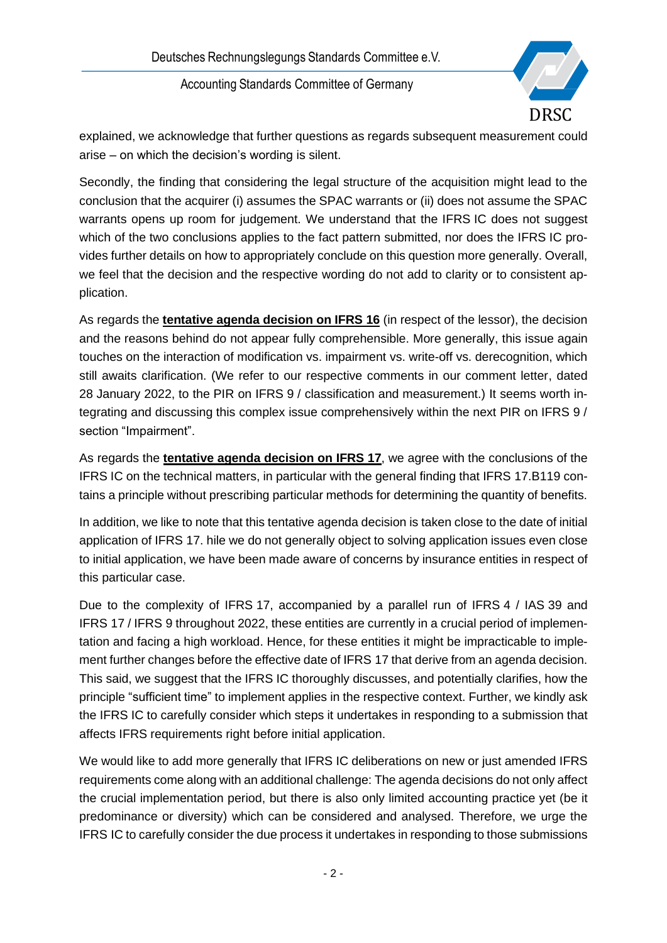Deutsches Rechnungslegungs Standards Committee e.V.

Accounting Standards Committee of Germany



explained, we acknowledge that further questions as regards subsequent measurement could arise – on which the decision's wording is silent.

Secondly, the finding that considering the legal structure of the acquisition might lead to the conclusion that the acquirer (i) assumes the SPAC warrants or (ii) does not assume the SPAC warrants opens up room for judgement. We understand that the IFRS IC does not suggest which of the two conclusions applies to the fact pattern submitted, nor does the IFRS IC provides further details on how to appropriately conclude on this question more generally. Overall, we feel that the decision and the respective wording do not add to clarity or to consistent application.

As regards the **tentative agenda decision on IFRS 16** (in respect of the lessor), the decision and the reasons behind do not appear fully comprehensible. More generally, this issue again touches on the interaction of modification vs. impairment vs. write-off vs. derecognition, which still awaits clarification. (We refer to our respective comments in our comment letter, dated 28 January 2022, to the PIR on IFRS 9 / classification and measurement.) It seems worth integrating and discussing this complex issue comprehensively within the next PIR on IFRS 9 / section "Impairment".

As regards the **tentative agenda decision on IFRS 17**, we agree with the conclusions of the IFRS IC on the technical matters, in particular with the general finding that IFRS 17.B119 contains a principle without prescribing particular methods for determining the quantity of benefits.

In addition, we like to note that this tentative agenda decision is taken close to the date of initial application of IFRS 17. hile we do not generally object to solving application issues even close to initial application, we have been made aware of concerns by insurance entities in respect of this particular case.

Due to the complexity of IFRS 17, accompanied by a parallel run of IFRS 4 / IAS 39 and IFRS 17 / IFRS 9 throughout 2022, these entities are currently in a crucial period of implementation and facing a high workload. Hence, for these entities it might be impracticable to implement further changes before the effective date of IFRS 17 that derive from an agenda decision. This said, we suggest that the IFRS IC thoroughly discusses, and potentially clarifies, how the principle "sufficient time" to implement applies in the respective context. Further, we kindly ask the IFRS IC to carefully consider which steps it undertakes in responding to a submission that affects IFRS requirements right before initial application.

We would like to add more generally that IFRS IC deliberations on new or just amended IFRS requirements come along with an additional challenge: The agenda decisions do not only affect the crucial implementation period, but there is also only limited accounting practice yet (be it predominance or diversity) which can be considered and analysed. Therefore, we urge the IFRS IC to carefully consider the due process it undertakes in responding to those submissions